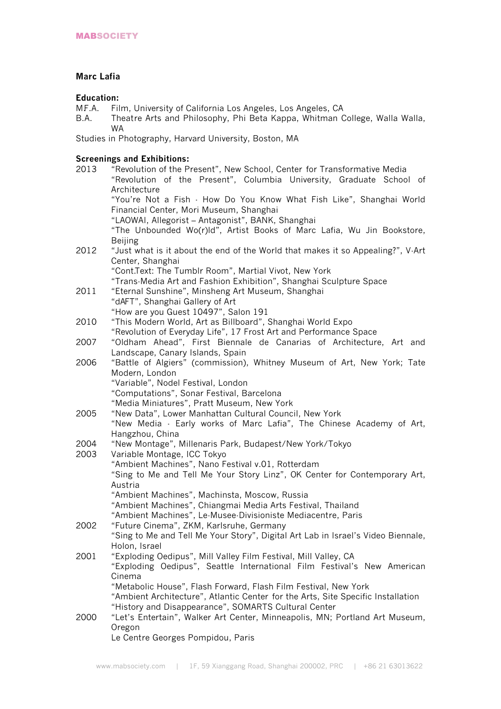## **Marc Lafia**

# Education:<br>MF.A. Fil

- M.F.A. Film, University of California Los Angeles, Los Angeles, CA
- B.A. Theatre Arts and Philosophy, Phi Beta Kappa, Whitman College, Walla Walla, WA

Studies in Photography, Harvard University, Boston, MA

## **Screenings and Exhibitions:**

| 2013 | "Revolution of the Present", New School, Center for Transformative Media         |
|------|----------------------------------------------------------------------------------|
|      | "Revolution of the Present", Columbia University, Graduate School of             |
|      | Architecture                                                                     |
|      | "You're Not a Fish · How Do You Know What Fish Like", Shanghai World             |
|      | Financial Center, Mori Museum, Shanghai                                          |
|      | "LAOWAI, Allegorist - Antagonist", BANK, Shanghai                                |
|      | "The Unbounded Wo(r)ld", Artist Books of Marc Lafia, Wu Jin Bookstore,           |
|      | <b>Beijing</b>                                                                   |
| 2012 | "Just what is it about the end of the World that makes it so Appealing?", V-Art  |
|      | Center, Shanghai                                                                 |
|      | "Cont.Text: The Tumblr Room", Martial Vivot, New York                            |
|      | "Trans-Media Art and Fashion Exhibition", Shanghai Sculpture Space               |
| 2011 | "Eternal Sunshine", Minsheng Art Museum, Shanghai                                |
| 2010 | "dAFT", Shanghai Gallery of Art                                                  |
|      | "How are you Guest 10497", Salon 191                                             |
|      | "This Modern World, Art as Billboard", Shanghai World Expo                       |
|      | "Revolution of Everyday Life", 17 Frost Art and Performance Space                |
| 2007 | "Oldham Ahead", First Biennale de Canarias of Architecture, Art and              |
| 2006 | Landscape, Canary Islands, Spain                                                 |
|      | "Battle of Algiers" (commission), Whitney Museum of Art, New York; Tate          |
|      | Modern, London                                                                   |
|      | "Variable", Nodel Festival, London                                               |
|      | "Computations", Sonar Festival, Barcelona                                        |
|      | "Media Miniatures", Pratt Museum, New York                                       |
| 2005 | "New Data", Lower Manhattan Cultural Council, New York                           |
|      | "New Media - Early works of Marc Lafia", The Chinese Academy of Art,             |
|      | Hangzhou, China                                                                  |
| 2004 | "New Montage", Millenaris Park, Budapest/New York/Tokyo                          |
| 2003 | Variable Montage, ICC Tokyo                                                      |
|      | "Ambient Machines", Nano Festival v.01, Rotterdam                                |
|      | "Sing to Me and Tell Me Your Story Linz", OK Center for Contemporary Art,        |
|      | Austria                                                                          |
|      | "Ambient Machines", Machinsta, Moscow, Russia                                    |
|      | "Ambient Machines", Chiangmai Media Arts Festival, Thailand                      |
|      | "Ambient Machines", Le-Musee-Divisioniste Mediacentre, Paris                     |
| 2002 | "Future Cinema", ZKM, Karlsruhe, Germany                                         |
|      | "Sing to Me and Tell Me Your Story", Digital Art Lab in Israel's Video Biennale, |
|      | Holon, Israel                                                                    |
| 2001 | "Exploding Oedipus", Mill Valley Film Festival, Mill Valley, CA                  |
| 2000 | "Exploding Oedipus", Seattle International Film Festival's New American          |
|      | Cinema                                                                           |
|      | "Metabolic House", Flash Forward, Flash Film Festival, New York                  |
|      |                                                                                  |
|      | "Ambient Architecture", Atlantic Center for the Arts, Site Specific Installation |
|      | "History and Disappearance", SOMARTS Cultural Center                             |
|      | "Let's Entertain", Walker Art Center, Minneapolis, MN; Portland Art Museum,      |
|      | Oregon                                                                           |
|      | Le Centre Georges Pompidou, Paris                                                |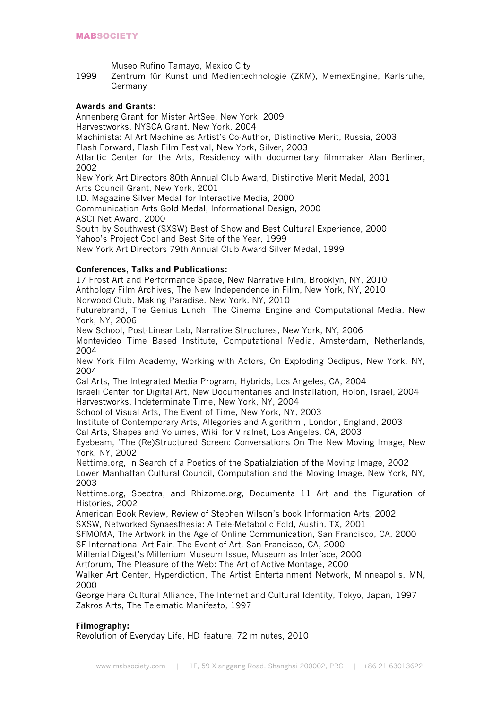Museo Rufino Tamayo, Mexico City

1999 Zentrum für Kunst und Medientechnologie (ZKM), MemexEngine, Karlsruhe, Germany

## **Awards and Grants:**

Annenberg Grant for Mister ArtSee, New York, 2009 Harvestworks, NYSCA Grant, New York, 2004 Machinista: AI Art Machine as Artist's Co-Author, Distinctive Merit, Russia, 2003 Flash Forward, Flash Film Festival, New York, Silver, 2003 Atlantic Center for the Arts, Residency with documentary filmmaker Alan Berliner, 2002 New York Art Directors 80th Annual Club Award, Distinctive Merit Medal, 2001 Arts Council Grant, New York, 2001 I.D. Magazine Silver Medal for Interactive Media, 2000 Communication Arts Gold Medal, Informational Design, 2000

ASCI Net Award, 2000

South by Southwest (SXSW) Best of Show and Best Cultural Experience, 2000 Yahoo's Project Cool and Best Site of the Year, 1999

New York Art Directors 79th Annual Club Award Silver Medal, 1999

## **Conferences, Talks and Publications:**

17 Frost Art and Performance Space, New Narrative Film, Brooklyn, NY, 2010 Anthology Film Archives, The New Independence in Film, New York, NY, 2010 Norwood Club, Making Paradise, New York, NY, 2010

Futurebrand, The Genius Lunch, The Cinema Engine and Computational Media, New York, NY, 2006

New School, Post-Linear Lab, Narrative Structures, New York, NY, 2006

Montevideo Time Based Institute, Computational Media, Amsterdam, Netherlands, 2004

New York Film Academy, Working with Actors, On Exploding Oedipus, New York, NY, 2004

Cal Arts, The Integrated Media Program, Hybrids, Los Angeles, CA, 2004

Israeli Center for Digital Art, New Documentaries and Installation, Holon, Israel, 2004 Harvestworks, Indeterminate Time, New York, NY, 2004

School of Visual Arts, The Event of Time, New York, NY, 2003

Institute of Contemporary Arts, Allegories and Algorithm', London, England, 2003

Cal Arts, Shapes and Volumes, Wiki for Viralnet, Los Angeles, CA, 2003

Eyebeam, 'The (Re)Structured Screen: Conversations On The New Moving Image, New York, NY, 2002

Nettime.org, In Search of a Poetics of the Spatialziation of the Moving Image, 2002 Lower Manhattan Cultural Council, Computation and the Moving Image, New York, NY, 2003

Nettime.org, Spectra, and Rhizome.org, Documenta 11 Art and the Figuration of Histories, 2002

American Book Review, Review of Stephen Wilson's book Information Arts, 2002

SXSW, Networked Synaesthesia: A Tele-Metabolic Fold, Austin, TX, 2001

SFMOMA, The Artwork in the Age of Online Communication, San Francisco, CA, 2000

SF International Art Fair, The Event of Art, San Francisco, CA, 2000

Millenial Digest's Millenium Museum Issue, Museum as Interface, 2000

Artforum, The Pleasure of the Web: The Art of Active Montage, 2000

Walker Art Center, Hyperdiction, The Artist Entertainment Network, Minneapolis, MN, 2000

George Hara Cultural Alliance, The Internet and Cultural Identity, Tokyo, Japan, 1997 Zakros Arts, The Telematic Manifesto, 1997

# **Filmography:**

Revolution of Everyday Life, HD feature, 72 minutes, 2010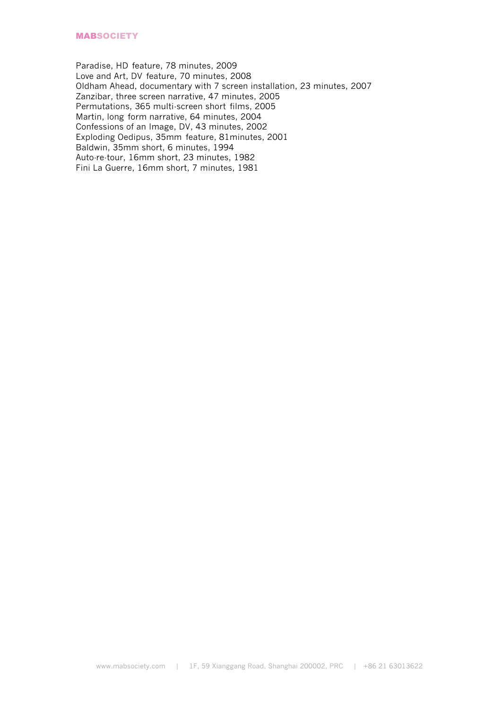Paradise, HD feature, 78 minutes, 2009 Love and Art, DV feature, 70 minutes, 2008 Oldham Ahead, documentary with 7 screen installation, 23 minutes, 2007 Zanzibar, three screen narrative, 47 minutes, 2005 Permutations, 365 multi-screen short films, 2005 Martin, long form narrative, 64 minutes, 2004 Confessions of an Image, DV, 43 minutes, 2002 Exploding Oedipus, 35mm feature, 81minutes, 2001 Baldwin, 35mm short, 6 minutes, 1994 Auto-re-tour, 16mm short, 23 minutes, 1982 Fini La Guerre, 16mm short, 7 minutes, 1981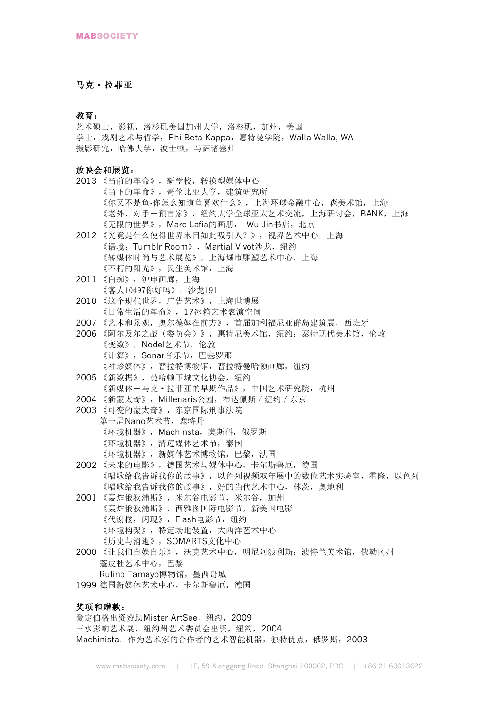## 马克·拉菲亚

#### 教育:

艺术硕士,影视,洛杉矶美国加州大学,洛杉矶,加州,美国 学士,戏剧艺术与哲学, Phi Beta Kappa, 惠特曼学院, Walla Walla, WA 摄影研究,哈佛大学,波士顿,马萨诸塞州

#### 放映会和展览:

- 2013 《当前的革命》,新学校,转换型媒体中心 《当下的革命》,哥伦比亚大学,建筑研究所 《你又不是鱼-你怎么知道鱼喜欢什么》,上海环球金融中心,森美术馆,上海 《老外,对手一预言家》,纽约大学全球亚太艺术交流,上海研讨会,BANK,上海 《无限的世界》, Marc Lafia的画册, Wu Jin书店, 北京
- 2012 《究竟是什么使得世界末日如此吸引人?》,视界艺术中心,上海 《语境: Tumblr Room》, Martial Vivot沙龙, 纽约 《转媒体时尚与艺术展览》,上海城市雕塑艺术中心,上海 《不朽的阳光》,民生美术馆,上海
- 2011 《白痴》,沪申画廊,上海 《客人10497你好吗》,沙龙191
- 2010 《这个现代世界,广告艺术》,上海世博展 《日常生活的革命》,17冰箱艺术表演空间
- 2007 《艺术和景观, 奥尔德姆在前方》, 首届加利福尼亚群岛建筑展, 西班牙
- 2006 《阿尔及尔之战(委员会)》,惠特尼美术馆,纽约;泰特现代美术馆,伦敦 《变数》,Nodel艺术节,伦敦 《计算》,Sonar音乐节,巴塞罗那 《袖珍媒体》,普拉特博物馆,普拉特曼哈顿画廊,纽约
- 2005 《新数据》,曼哈顿下城文化协会,纽约 《新媒体-马克·拉菲亚的早期作品》,中国艺术研究院,杭州
- 2004 《新蒙太奇》, Millenaris公园, 布达佩斯 / 纽约 / 东京
- 2003 《可变的蒙太奇》,东京国际刑事法院
	- 第一届Nano艺术节,鹿特丹 《环境机器》,Machinsta,莫斯科,俄罗斯 《环境机器》,清迈媒体艺术节,泰国
		- 《环境机器》,新媒体艺术博物馆,巴黎,法国
- 2002 《未来的电影》,德国艺术与媒体中心,卡尔斯鲁厄,德国 《唱歌给我告诉我你的故事》,以色列视频双年展中的数位艺术实验室,霍隆,以色列 《唱歌给我告诉我你的故事》,好的当代艺术中心,林茨,奥地利
- 2001 《轰炸俄狄浦斯》,米尔谷电影节,米尔谷,加州 《轰炸俄狄浦斯》,西雅图国际电影节,新美国电影 《代谢楼,闪现》,Flash电影节,纽约 《环境构架》,特定场地装置,大西洋艺术中心 《历史与消逝》,SOMARTS文化中心
- 2000 《让我们自娱自乐》,沃克艺术中心,明尼阿波利斯;波特兰美术馆,俄勒冈州 蓬皮杜艺术中心,巴黎 Rufino Tamayo博物馆,墨西哥城
- 1999 德国新媒体艺术中心,卡尔斯鲁厄,德国

#### 奖项和赠款:

爱定伯格出资赞助Mister ArtSee, 纽约, 2009 三水影响艺术展, 纽约州艺术委员会出资, 纽约, 2004 Machinista: 作为艺术家的合作者的艺术智能机器, 独特优点, 俄罗斯, 2003